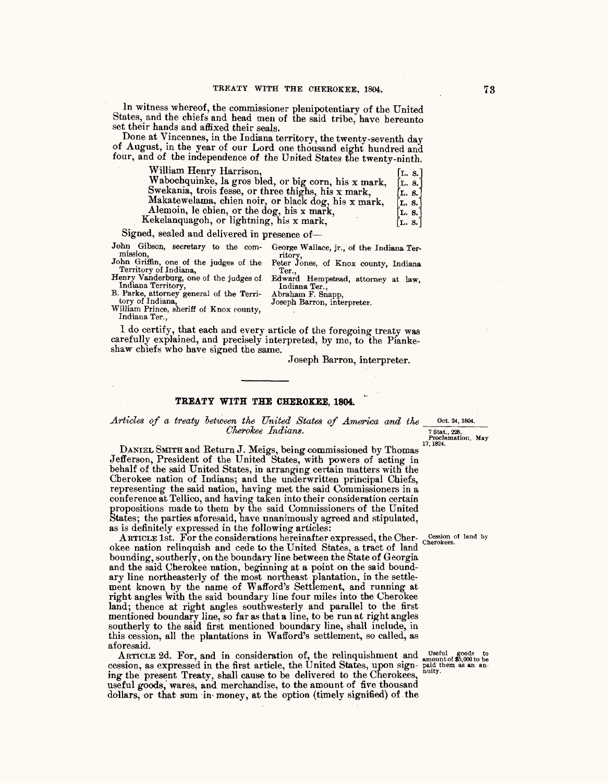ln witness whereof, the commissioner plenipotentiary of the United States, and the chiefs and head men of the said tribe, have hereunto set their hands and affixed their seals. '

Done at Vincennes, in the Indiana territory, the twenty-seventh day of August, m the year of our Lord one thousand eight hundred and four, and of the independence *of* the United States the twenty-ninth.

| William Henry Harrison,                              | [L. s.]          |  |
|------------------------------------------------------|------------------|--|
| Wabochquinke, la gros bled, or big corn, his x mark, | [L. 8.           |  |
| Swekania, trois fesse, or three thighs, his x mark,  | [L. 8.]          |  |
| Makatewelama, chien noir, or black dog, his x mark,  | $\mathbf{L.}$ s. |  |
| Alemoin, le chien, or the dog, his x mark,           | [L. 8.]          |  |
| Kekelanquagoh, or lightning, his x mark,             | [L. S.           |  |

Signed, sealed and delivered in presence of-

John Gibson, secretary to the com- mission, George Wallace, jr., of the Indiana Ter-

John Griffin, one of the judges of the Territory of Indiana, Henry Vanderburg, one of the judges of ritory, Peter Jones, of Knox county, Indiana Ter., .

Edward Hempstead, attorney at law, Indiana Ter.,

Abraham F. Snapp, Joseph Barron, interpreter.

B. Parke, attorney general of the Terri-tory of Indiana, William Prince, sheriff of Knox county, Indiana Ter.,

Indiana Territory,

I do certify, that each and every article of the foregoing treaty was carefully explained, and precisely interpreted, by me, to the Piankeshaw chiefs who have signed the same.

,Joseph Barron, interpreter.

## **TREATY WITH THE CHEROKEE, 1804.**

## *Articles of a treaty between the United States of America and the* <u>Oct. 24, 1804.</u><br>Cherokee Indians. **-7-stat.**, 228. Proclamation. May

Proclamation, May 17, 1824.

DANIEL SMITH and Return J. Meigs, being commissioned by Thomas Jefferson, President of the United States, with powers of acting in behalf of the said United States, in arranging certain matters with the Cherokee nation of Indians; and the underwritten principal Chiefs, representing the said nation, having met the said Commissioners in a conference at Tellico, and having taken into their consideration certain propositions made to thetn bv the said Commissioners *of* the United States; the parties aforesaid, have unanimously agreed and stipulated, as is definitely expressed in the following articles:

ARTICLE 1st. For the considerations hereinafter expressed, the Cher- Cession of land by okee nation relinquish and cede to the United States, a tract of land bounding, southerly, on the boundary line between the State of Georgia and the said Cherokee nation, beginning at a point on the said boundary line northeasterly of the most northeast plantation, in the settlement known bv the name *of* Wafford's Settlement, and running at right angles with the said boundary line four miles into the Cherokee land; thence at right angles southwesterly and parallel to the first mentioned boundary line, so far as that a line, to be run at right angles southerly to the said first mentioned boundary line, shall include, in this cession, all the plantations in W afford's settlement, so called, as aforesaid.

ARTICLE 2d. For, and in consideration of, the relinquishment and  $_{\text{amount of $5,000 to be}}^{Useful ~good s}$ cession, as expressed in the first article, the United States, upon sign- paid them as an aning the present Treaty, shall cause to be delivered to the Cherokees, useful goods; wares, and merchandise, to the amount *of* five thousand dollars, or that sum in money, at the option (timely signified) of the